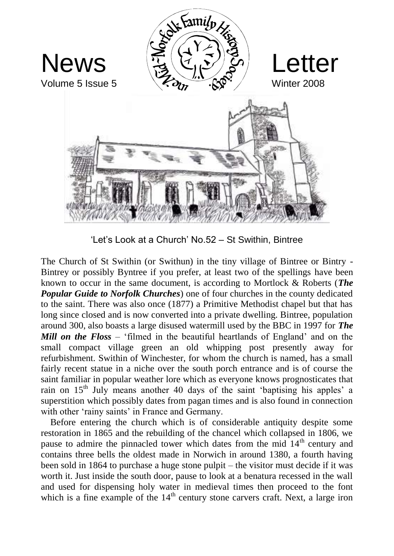

'Let's Look at a Church' No.52 – St Swithin, Bintree

The Church of St Swithin (or Swithun) in the tiny village of Bintree or Bintry - Bintrey or possibly Byntree if you prefer, at least two of the spellings have been known to occur in the same document, is according to Mortlock & Roberts (*The Popular Guide to Norfolk Churches*) one of four churches in the county dedicated to the saint. There was also once (1877) a Primitive Methodist chapel but that has long since closed and is now converted into a private dwelling. Bintree, population around 300, also boasts a large disused watermill used by the BBC in 1997 for *The Mill on the Floss* – 'filmed in the beautiful heartlands of England' and on the small compact village green an old whipping post presently away for refurbishment. Swithin of Winchester, for whom the church is named, has a small fairly recent statue in a niche over the south porch entrance and is of course the saint familiar in popular weather lore which as everyone knows prognosticates that rain on 15th July means another 40 days of the saint 'baptising his apples' a superstition which possibly dates from pagan times and is also found in connection with other 'rainy saints' in France and Germany.

 Before entering the church which is of considerable antiquity despite some restoration in 1865 and the rebuilding of the chancel which collapsed in 1806, we pause to admire the pinnacled tower which dates from the mid 14<sup>th</sup> century and contains three bells the oldest made in Norwich in around 1380, a fourth having been sold in 1864 to purchase a huge stone pulpit – the visitor must decide if it was worth it. Just inside the south door, pause to look at a benatura recessed in the wall and used for dispensing holy water in medieval times then proceed to the font which is a fine example of the  $14<sup>th</sup>$  century stone carvers craft. Next, a large iron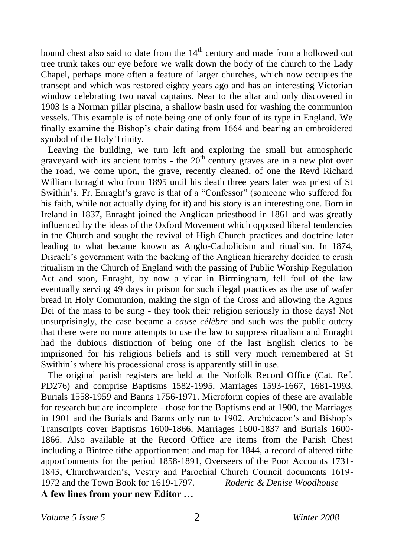bound chest also said to date from the  $14<sup>th</sup>$  century and made from a hollowed out tree trunk takes our eye before we walk down the body of the church to the Lady Chapel, perhaps more often a feature of larger churches, which now occupies the transept and which was restored eighty years ago and has an interesting Victorian window celebrating two naval captains. Near to the altar and only discovered in 1903 is a Norman pillar piscina, a shallow basin used for washing the communion vessels. This example is of note being one of only four of its type in England. We finally examine the Bishop's chair dating from 1664 and bearing an embroidered symbol of the Holy Trinity.

 Leaving the building, we turn left and exploring the small but atmospheric graveyard with its ancient tombs - the  $20<sup>th</sup>$  century graves are in a new plot over the road, we come upon, the grave, recently cleaned, of one the Revd Richard William Enraght who from 1895 until his death three years later was priest of St Swithin's. Fr. Enraght's grave is that of a "Confessor" (someone who suffered for his faith, while not actually dying for it) and his story is an interesting one. Born in Ireland in 1837, Enraght joined the Anglican priesthood in 1861 and was greatly influenced by the ideas of the Oxford Movement which opposed liberal tendencies in the Church and sought the revival of High Church practices and doctrine later leading to what became known as Anglo-Catholicism and ritualism. In 1874, Disraeli's government with the backing of the Anglican hierarchy decided to crush ritualism in the Church of England with the passing of Public Worship Regulation Act and soon, Enraght, by now a vicar in Birmingham, fell foul of the law eventually serving 49 days in prison for such illegal practices as the use of wafer bread in Holy Communion, making the sign of the Cross and allowing the Agnus Dei of the mass to be sung - they took their religion seriously in those days! Not unsurprisingly, the case became a *cause célèbre* and such was the public outcry that there were no more attempts to use the law to suppress ritualism and Enraght had the dubious distinction of being one of the last English clerics to be imprisoned for his religious beliefs and is still very much remembered at St Swithin's where his processional cross is apparently still in use.

 The original parish registers are held at the Norfolk Record Office (Cat. Ref. PD276) and comprise Baptisms 1582-1995, Marriages 1593-1667, 1681-1993, Burials 1558-1959 and Banns 1756-1971. Microform copies of these are available for research but are incomplete - those for the Baptisms end at 1900, the Marriages in 1901 and the Burials and Banns only run to 1902. Archdeacon's and Bishop's Transcripts cover Baptisms 1600-1866, Marriages 1600-1837 and Burials 1600- 1866. Also available at the Record Office are items from the Parish Chest including a Bintree tithe apportionment and map for 1844, a record of altered tithe apportionments for the period 1858-1891, Overseers of the Poor Accounts 1731- 1843, Churchwarden's, Vestry and Parochial Church Council documents 1619- 1972 and the Town Book for 1619-1797. *Roderic & Denise Woodhouse* **A few lines from your new Editor …**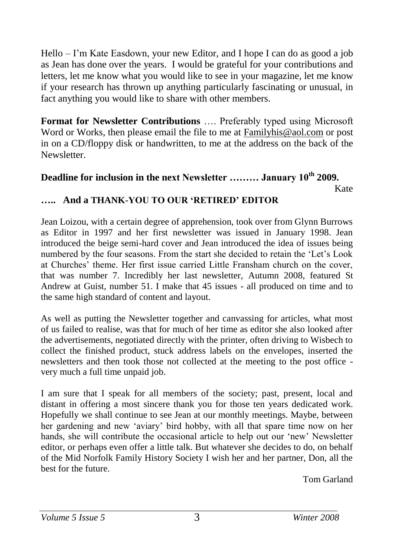Hello – I'm Kate Easdown, your new Editor, and I hope I can do as good a job as Jean has done over the years. I would be grateful for your contributions and letters, let me know what you would like to see in your magazine, let me know if your research has thrown up anything particularly fascinating or unusual, in fact anything you would like to share with other members.

**Format for Newsletter Contributions** …. Preferably typed using Microsoft Word or Works, then please email the file to me at [Familyhis@aol.com](mailto:Familyhis@aol.com) or post in on a CD/floppy disk or handwritten, to me at the address on the back of the Newsletter.

## **Deadline for inclusion in the next Newsletter ……… January 10th 2009.**

Kate

#### **….. And a THANK-YOU TO OUR 'RETIRED' EDITOR**

Jean Loizou, with a certain degree of apprehension, took over from Glynn Burrows as Editor in 1997 and her first newsletter was issued in January 1998. Jean introduced the beige semi-hard cover and Jean introduced the idea of issues being numbered by the four seasons. From the start she decided to retain the 'Let's Look at Churches' theme. Her first issue carried Little Fransham church on the cover, that was number 7. Incredibly her last newsletter, Autumn 2008, featured St Andrew at Guist, number 51. I make that 45 issues - all produced on time and to the same high standard of content and layout.

As well as putting the Newsletter together and canvassing for articles, what most of us failed to realise, was that for much of her time as editor she also looked after the advertisements, negotiated directly with the printer, often driving to Wisbech to collect the finished product, stuck address labels on the envelopes, inserted the newsletters and then took those not collected at the meeting to the post office very much a full time unpaid job.

I am sure that I speak for all members of the society; past, present, local and distant in offering a most sincere thank you for those ten years dedicated work. Hopefully we shall continue to see Jean at our monthly meetings. Maybe, between her gardening and new 'aviary' bird hobby, with all that spare time now on her hands, she will contribute the occasional article to help out our 'new' Newsletter editor, or perhaps even offer a little talk. But whatever she decides to do, on behalf of the Mid Norfolk Family History Society I wish her and her partner, Don, all the best for the future.

Tom Garland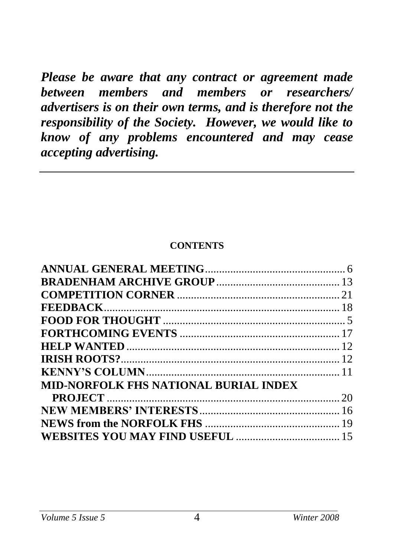*Please be aware that any contract or agreement made between members and members or researchers/ advertisers is on their own terms, and is therefore not the responsibility of the Society. However, we would like to know of any problems encountered and may cease accepting advertising.*

#### **CONTENTS**

| <b>MID-NORFOLK FHS NATIONAL BURIAL INDEX</b> |  |
|----------------------------------------------|--|
|                                              |  |
|                                              |  |
|                                              |  |
|                                              |  |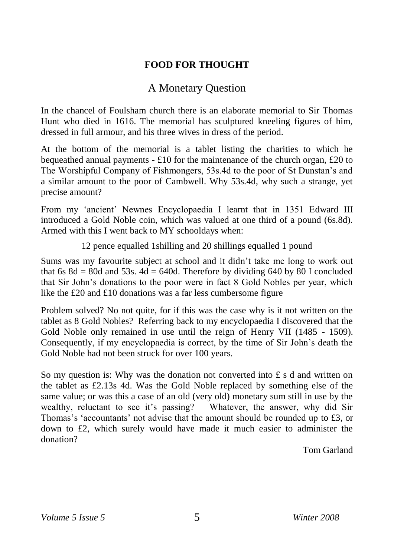## **FOOD FOR THOUGHT**

## A Monetary Question

In the chancel of Foulsham church there is an elaborate memorial to Sir Thomas Hunt who died in 1616. The memorial has sculptured kneeling figures of him, dressed in full armour, and his three wives in dress of the period.

At the bottom of the memorial is a tablet listing the charities to which he bequeathed annual payments  $- \pounds 10$  for the maintenance of the church organ,  $\pounds 20$  to The Worshipful Company of Fishmongers, 53s.4d to the poor of St Dunstan's and a similar amount to the poor of Cambwell. Why 53s.4d, why such a strange, yet precise amount?

From my 'ancient' Newnes Encyclopaedia I learnt that in 1351 Edward III introduced a Gold Noble coin, which was valued at one third of a pound (6s.8d). Armed with this I went back to MY schooldays when:

12 pence equalled 1shilling and 20 shillings equalled 1 pound

Sums was my favourite subject at school and it didn't take me long to work out that 6s 8d = 80d and 53s. 4d = 640d. Therefore by dividing 640 by 80 I concluded that Sir John's donations to the poor were in fact 8 Gold Nobles per year, which like the £20 and £10 donations was a far less cumbersome figure

Problem solved? No not quite, for if this was the case why is it not written on the tablet as 8 Gold Nobles? Referring back to my encyclopaedia I discovered that the Gold Noble only remained in use until the reign of Henry VII (1485 - 1509). Consequently, if my encyclopaedia is correct, by the time of Sir John's death the Gold Noble had not been struck for over 100 years.

So my question is: Why was the donation not converted into  $\pounds$  s d and written on the tablet as £2.13s 4d. Was the Gold Noble replaced by something else of the same value; or was this a case of an old (very old) monetary sum still in use by the wealthy, reluctant to see it's passing? Whatever, the answer, why did Sir Thomas's 'accountants' not advise that the amount should be rounded up to £3, or down to £2, which surely would have made it much easier to administer the donation?

Tom Garland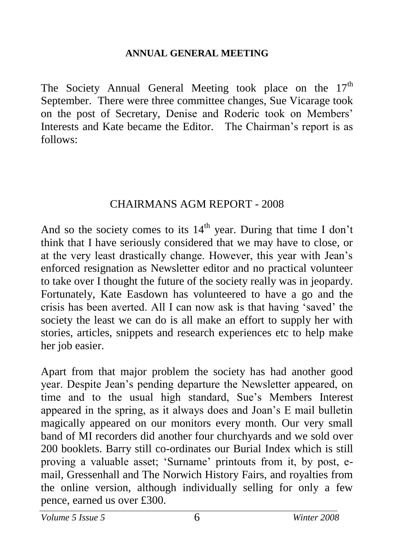### **ANNUAL GENERAL MEETING**

The Society Annual General Meeting took place on the  $17<sup>th</sup>$ September. There were three committee changes, Sue Vicarage took on the post of Secretary, Denise and Roderic took on Members' Interests and Kate became the Editor. The Chairman's report is as follows:

## CHAIRMANS AGM REPORT - 2008

And so the society comes to its  $14<sup>th</sup>$  year. During that time I don't think that I have seriously considered that we may have to close, or at the very least drastically change. However, this year with Jean's enforced resignation as Newsletter editor and no practical volunteer to take over I thought the future of the society really was in jeopardy. Fortunately, Kate Easdown has volunteered to have a go and the crisis has been averted. All I can now ask is that having 'saved' the society the least we can do is all make an effort to supply her with stories, articles, snippets and research experiences etc to help make her job easier.

Apart from that major problem the society has had another good year. Despite Jean's pending departure the Newsletter appeared, on time and to the usual high standard, Sue's Members Interest appeared in the spring, as it always does and Joan's E mail bulletin magically appeared on our monitors every month. Our very small band of MI recorders did another four churchyards and we sold over 200 booklets. Barry still co-ordinates our Burial Index which is still proving a valuable asset; 'Surname' printouts from it, by post, email, Gressenhall and The Norwich History Fairs, and royalties from the online version, although individually selling for only a few pence, earned us over £300.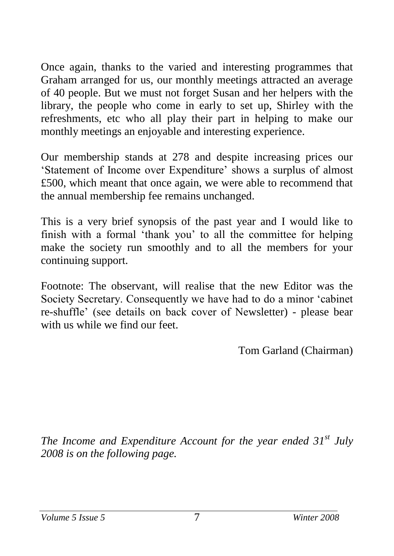Once again, thanks to the varied and interesting programmes that Graham arranged for us, our monthly meetings attracted an average of 40 people. But we must not forget Susan and her helpers with the library, the people who come in early to set up, Shirley with the refreshments, etc who all play their part in helping to make our monthly meetings an enjoyable and interesting experience.

Our membership stands at 278 and despite increasing prices our 'Statement of Income over Expenditure' shows a surplus of almost £500, which meant that once again, we were able to recommend that the annual membership fee remains unchanged.

This is a very brief synopsis of the past year and I would like to finish with a formal 'thank you' to all the committee for helping make the society run smoothly and to all the members for your continuing support.

Footnote: The observant, will realise that the new Editor was the Society Secretary. Consequently we have had to do a minor 'cabinet re-shuffle' (see details on back cover of Newsletter) - please bear with us while we find our feet.

Tom Garland (Chairman)

*The Income and Expenditure Account for the year ended 31st July 2008 is on the following page.*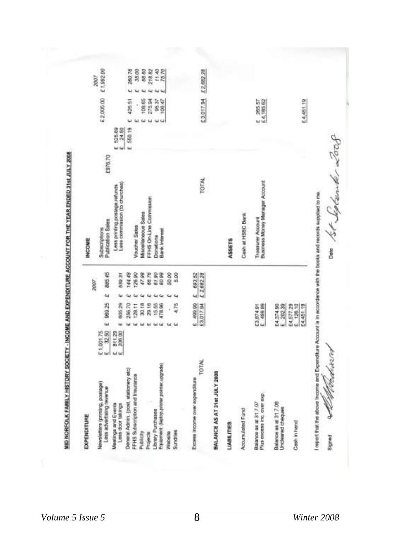| u<br>ш<br>£ 550.19<br>525.69<br>£976.70<br>TOTAL<br>Business Money Manager Account<br>Less commission (to churches)<br>Less printing postage, refunds<br>FFHS On-Line Commission<br><b>Villacellaneous Sales</b><br>Cash at H5BC Bank<br>Traissurer Account<br>Publication Sees<br><b>Voucher Sales</b><br>Subscriptions<br>Barrk Interest<br>Donations<br>ASSETS<br>885.45<br>2 093.52<br>144.48<br>26.90<br>47.98<br>66,76<br>61.90<br>60.98<br>50.00<br>5.00<br>539.31<br>2007<br>Sul<br>98925<br>£3,017.94<br>805.29<br>6 499.99<br>256.70<br>30.18<br>478.96<br>4.75<br>29.16<br>15.55<br>£3,874.91<br>£ 499.99<br>£4,374.90<br>128.11<br>202.39<br>i<br>ίú<br>ü<br>шÌ<br><b>Gd</b><br>32.50<br>B11.29<br>206.00<br>E1,00175<br>E 32.50<br>Бd<br>TOTAL<br>Equipment (laptop primer pointer upgrade)<br>General Admin. (post, stationery etc)<br>BALANCE AS AT 31st JULY 2008<br>FFHS Subscription and Insurance<br>Excess income over expenditure<br>Vewsletters (printing, postage)<br>Less advertising revenue<br>Plus excess inc. over exp.<br>Balance as at 31.7.07<br>Balance as at 31.7.08<br>Meetings and Events<br>Less door takings<br><b>Uncleared cheques</b><br><b>Accumulated Fund</b><br>Jorary Purchases<br><b>LIABILITIES</b><br>Sundries<br>Nabsite<br>Publicity<br>Projects | EXPENDITURE |  |  | <b>INCOME</b> |                       |           |           |
|----------------------------------------------------------------------------------------------------------------------------------------------------------------------------------------------------------------------------------------------------------------------------------------------------------------------------------------------------------------------------------------------------------------------------------------------------------------------------------------------------------------------------------------------------------------------------------------------------------------------------------------------------------------------------------------------------------------------------------------------------------------------------------------------------------------------------------------------------------------------------------------------------------------------------------------------------------------------------------------------------------------------------------------------------------------------------------------------------------------------------------------------------------------------------------------------------------------------------------------------------------------------------------------------------|-------------|--|--|---------------|-----------------------|-----------|-----------|
|                                                                                                                                                                                                                                                                                                                                                                                                                                                                                                                                                                                                                                                                                                                                                                                                                                                                                                                                                                                                                                                                                                                                                                                                                                                                                                    |             |  |  |               |                       |           | 2007      |
|                                                                                                                                                                                                                                                                                                                                                                                                                                                                                                                                                                                                                                                                                                                                                                                                                                                                                                                                                                                                                                                                                                                                                                                                                                                                                                    |             |  |  |               | £2,005.00             |           | E1,992.00 |
|                                                                                                                                                                                                                                                                                                                                                                                                                                                                                                                                                                                                                                                                                                                                                                                                                                                                                                                                                                                                                                                                                                                                                                                                                                                                                                    |             |  |  |               |                       |           |           |
|                                                                                                                                                                                                                                                                                                                                                                                                                                                                                                                                                                                                                                                                                                                                                                                                                                                                                                                                                                                                                                                                                                                                                                                                                                                                                                    |             |  |  |               | 426.51                | Ŵ         | 260,76    |
|                                                                                                                                                                                                                                                                                                                                                                                                                                                                                                                                                                                                                                                                                                                                                                                                                                                                                                                                                                                                                                                                                                                                                                                                                                                                                                    |             |  |  |               | y                     |           | 35.00     |
|                                                                                                                                                                                                                                                                                                                                                                                                                                                                                                                                                                                                                                                                                                                                                                                                                                                                                                                                                                                                                                                                                                                                                                                                                                                                                                    |             |  |  |               | 108.65                |           | 88.60     |
|                                                                                                                                                                                                                                                                                                                                                                                                                                                                                                                                                                                                                                                                                                                                                                                                                                                                                                                                                                                                                                                                                                                                                                                                                                                                                                    |             |  |  |               | 275.94                |           | 218.82    |
|                                                                                                                                                                                                                                                                                                                                                                                                                                                                                                                                                                                                                                                                                                                                                                                                                                                                                                                                                                                                                                                                                                                                                                                                                                                                                                    |             |  |  |               | 95.37                 |           | 11.40     |
|                                                                                                                                                                                                                                                                                                                                                                                                                                                                                                                                                                                                                                                                                                                                                                                                                                                                                                                                                                                                                                                                                                                                                                                                                                                                                                    |             |  |  |               | 108.47                |           | 75.70     |
|                                                                                                                                                                                                                                                                                                                                                                                                                                                                                                                                                                                                                                                                                                                                                                                                                                                                                                                                                                                                                                                                                                                                                                                                                                                                                                    |             |  |  |               |                       |           |           |
|                                                                                                                                                                                                                                                                                                                                                                                                                                                                                                                                                                                                                                                                                                                                                                                                                                                                                                                                                                                                                                                                                                                                                                                                                                                                                                    |             |  |  |               |                       |           |           |
|                                                                                                                                                                                                                                                                                                                                                                                                                                                                                                                                                                                                                                                                                                                                                                                                                                                                                                                                                                                                                                                                                                                                                                                                                                                                                                    |             |  |  |               |                       |           |           |
|                                                                                                                                                                                                                                                                                                                                                                                                                                                                                                                                                                                                                                                                                                                                                                                                                                                                                                                                                                                                                                                                                                                                                                                                                                                                                                    |             |  |  |               | E3,017.54             | £2,682.28 |           |
|                                                                                                                                                                                                                                                                                                                                                                                                                                                                                                                                                                                                                                                                                                                                                                                                                                                                                                                                                                                                                                                                                                                                                                                                                                                                                                    |             |  |  |               |                       |           |           |
|                                                                                                                                                                                                                                                                                                                                                                                                                                                                                                                                                                                                                                                                                                                                                                                                                                                                                                                                                                                                                                                                                                                                                                                                                                                                                                    |             |  |  |               |                       |           |           |
|                                                                                                                                                                                                                                                                                                                                                                                                                                                                                                                                                                                                                                                                                                                                                                                                                                                                                                                                                                                                                                                                                                                                                                                                                                                                                                    |             |  |  |               |                       |           |           |
|                                                                                                                                                                                                                                                                                                                                                                                                                                                                                                                                                                                                                                                                                                                                                                                                                                                                                                                                                                                                                                                                                                                                                                                                                                                                                                    |             |  |  |               | E 265.57<br>E4.185.62 |           |           |
|                                                                                                                                                                                                                                                                                                                                                                                                                                                                                                                                                                                                                                                                                                                                                                                                                                                                                                                                                                                                                                                                                                                                                                                                                                                                                                    |             |  |  |               |                       |           |           |
| 24,577.29<br>£4,451.19<br>Cash in hand                                                                                                                                                                                                                                                                                                                                                                                                                                                                                                                                                                                                                                                                                                                                                                                                                                                                                                                                                                                                                                                                                                                                                                                                                                                             |             |  |  |               | E 4,451.19            |           |           |

*Volume 5 Issue 5* 8 *Winter 2008*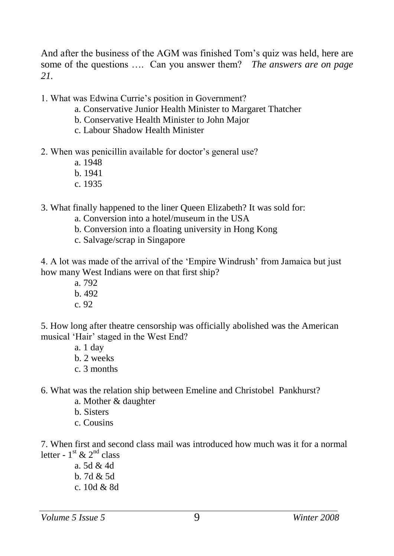And after the business of the AGM was finished Tom's quiz was held, here are some of the questions …. Can you answer them? *The answers are on page 21.*

1. What was Edwina Currie's position in Government?

- a. Conservative Junior Health Minister to Margaret Thatcher
- b. Conservative Health Minister to John Major
- c. Labour Shadow Health Minister
- 2. When was penicillin available for doctor's general use?
	- a. 1948
	- b. 1941
	- c. 1935

3. What finally happened to the liner Queen Elizabeth? It was sold for:

- a. Conversion into a hotel/museum in the USA
- b. Conversion into a floating university in Hong Kong
- c. Salvage/scrap in Singapore

4. A lot was made of the arrival of the 'Empire Windrush' from Jamaica but just how many West Indians were on that first ship?

- a. 792
- b. 492
- c. 92

5. How long after theatre censorship was officially abolished was the American musical 'Hair' staged in the West End?

- a. 1 day
- b. 2 weeks
- c. 3 months

6. What was the relation ship between Emeline and Christobel Pankhurst?

- a. Mother & daughter
- b. Sisters
- c. Cousins

7. When first and second class mail was introduced how much was it for a normal letter -  $1^{\text{st}}$  &  $2^{\text{nd}}$  class

a. 5d & 4d b. 7d & 5d c. 10d & 8d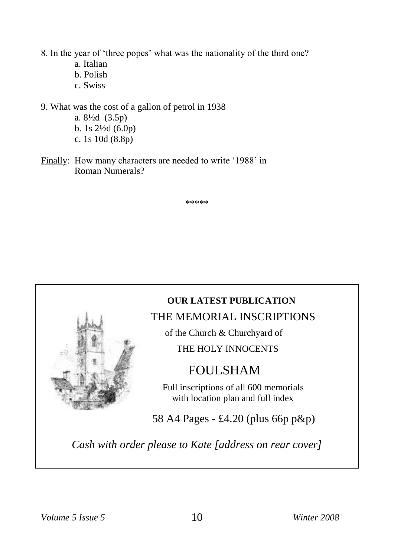8. In the year of 'three popes' what was the nationality of the third one?

- a. Italian
- b. Polish
- c. Swiss

9. What was the cost of a gallon of petrol in 1938 a. 8½d (3.5p) b. 1s 2½d (6.0p) c. 1s 10d (8.8p)

Finally: How many characters are needed to write '1988' in Roman Numerals?

\*\*\*\*\*

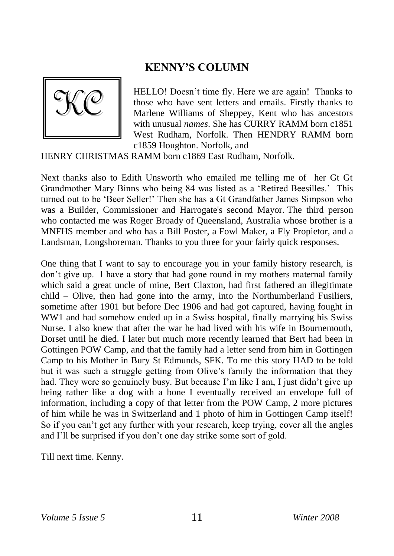# **KENNY'S COLUMN**



HELLO! Doesn't time fly. Here we are again! Thanks to those who have sent letters and emails. Firstly thanks to Marlene Williams of Sheppey, Kent who has ancestors with unusual *names*. She has CURRY RAMM born c1851 West Rudham, Norfolk. Then HENDRY RAMM born c1859 Houghton. Norfolk, and

HENRY CHRISTMAS RAMM born c1869 East Rudham, Norfolk.

Next thanks also to Edith Unsworth who emailed me telling me of her Gt Gt Grandmother Mary Binns who being 84 was listed as a 'Retired Beesilles.' This turned out to be 'Beer Seller!' Then she has a Gt Grandfather James Simpson who was a Builder, Commissioner and Harrogate's second Mayor. The third person who contacted me was Roger Broady of Queensland, Australia whose brother is a MNFHS member and who has a Bill Poster, a Fowl Maker, a Fly Propietor, and a Landsman, Longshoreman. Thanks to you three for your fairly quick responses.

One thing that I want to say to encourage you in your family history research, is don't give up. I have a story that had gone round in my mothers maternal family which said a great uncle of mine, Bert Claxton, had first fathered an illegitimate child – Olive, then had gone into the army, into the Northumberland Fusiliers, sometime after 1901 but before Dec 1906 and had got captured, having fought in WW1 and had somehow ended up in a Swiss hospital, finally marrying his Swiss Nurse. I also knew that after the war he had lived with his wife in Bournemouth, Dorset until he died. I later but much more recently learned that Bert had been in Gottingen POW Camp, and that the family had a letter send from him in Gottingen Camp to his Mother in Bury St Edmunds, SFK. To me this story HAD to be told but it was such a struggle getting from Olive's family the information that they had. They were so genuinely busy. But because I'm like I am, I just didn't give up being rather like a dog with a bone I eventually received an envelope full of information, including a copy of that letter from the POW Camp, 2 more pictures of him while he was in Switzerland and 1 photo of him in Gottingen Camp itself! So if you can't get any further with your research, keep trying, cover all the angles and I'll be surprised if you don't one day strike some sort of gold.

Till next time. Kenny.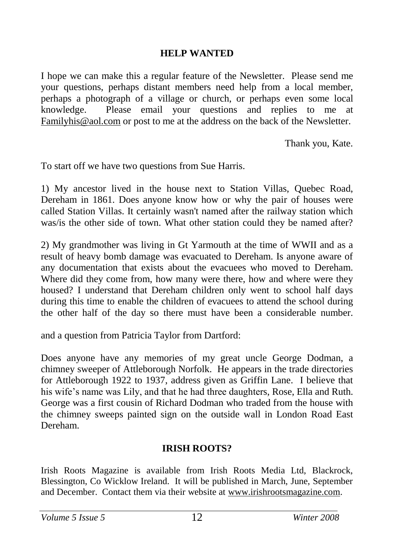#### **HELP WANTED**

I hope we can make this a regular feature of the Newsletter. Please send me your questions, perhaps distant members need help from a local member, perhaps a photograph of a village or church, or perhaps even some local knowledge. Please email your questions and replies to me at [Familyhis@aol.com](mailto:Familyhis@aol.com) or post to me at the address on the back of the Newsletter.

Thank you, Kate.

To start off we have two questions from Sue Harris.

1) My ancestor lived in the house next to Station Villas, Quebec Road, Dereham in 1861. Does anyone know how or why the pair of houses were called Station Villas. It certainly wasn't named after the railway station which was/is the other side of town. What other station could they be named after?

2) My grandmother was living in Gt Yarmouth at the time of WWII and as a result of heavy bomb damage was evacuated to Dereham. Is anyone aware of any documentation that exists about the evacuees who moved to Dereham. Where did they come from, how many were there, how and where were they housed? I understand that Dereham children only went to school half days during this time to enable the children of evacuees to attend the school during the other half of the day so there must have been a considerable number.

and a question from Patricia Taylor from Dartford:

Does anyone have any memories of my great uncle George Dodman, a chimney sweeper of Attleborough Norfolk. He appears in the trade directories for Attleborough 1922 to 1937, address given as Griffin Lane. I believe that his wife's name was Lily, and that he had three daughters, Rose, Ella and Ruth. George was a first cousin of Richard Dodman who traded from the house with the chimney sweeps painted sign on the outside wall in London Road East Dereham.

### **IRISH ROOTS?**

Irish Roots Magazine is available from Irish Roots Media Ltd, Blackrock, Blessington, Co Wicklow Ireland. It will be published in March, June, September and December. Contact them via their website at [www.irishrootsmagazine.com.](http://www.irishrootsmagazine.com/)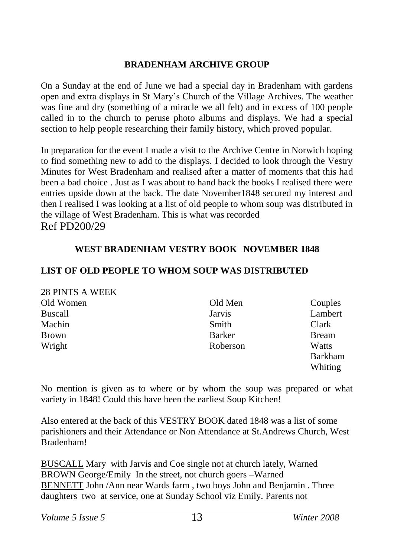#### **BRADENHAM ARCHIVE GROUP**

On a Sunday at the end of June we had a special day in Bradenham with gardens open and extra displays in St Mary's Church of the Village Archives. The weather was fine and dry (something of a miracle we all felt) and in excess of 100 people called in to the church to peruse photo albums and displays. We had a special section to help people researching their family history, which proved popular.

In preparation for the event I made a visit to the Archive Centre in Norwich hoping to find something new to add to the displays. I decided to look through the Vestry Minutes for West Bradenham and realised after a matter of moments that this had been a bad choice . Just as I was about to hand back the books I realised there were entries upside down at the back. The date November1848 secured my interest and then I realised I was looking at a list of old people to whom soup was distributed in the village of West Bradenham. This is what was recorded Ref PD200/29

#### **WEST BRADENHAM VESTRY BOOK NOVEMBER 1848**

#### **LIST OF OLD PEOPLE TO WHOM SOUP WAS DISTRIBUTED**

|  |  |  |  | 28 PINTS A WEEK |
|--|--|--|--|-----------------|
|--|--|--|--|-----------------|

| Old Women      | Old Men  | Couples       |
|----------------|----------|---------------|
| <b>Buscall</b> | Jarvis   | Lambert       |
| Machin         | Smith    | Clark         |
| <b>Brown</b>   | Barker   | <b>B</b> ream |
| Wright         | Roberson | Watts         |
|                |          | Barkham       |
|                |          | Whiting       |

No mention is given as to where or by whom the soup was prepared or what variety in 1848! Could this have been the earliest Soup Kitchen!

Also entered at the back of this VESTRY BOOK dated 1848 was a list of some parishioners and their Attendance or Non Attendance at St.Andrews Church, West Bradenham!

BUSCALL Mary with Jarvis and Coe single not at church lately, Warned BROWN George/Emily In the street, not church goers –Warned BENNETT John /Ann near Wards farm , two boys John and Benjamin . Three daughters two at service, one at Sunday School viz Emily. Parents not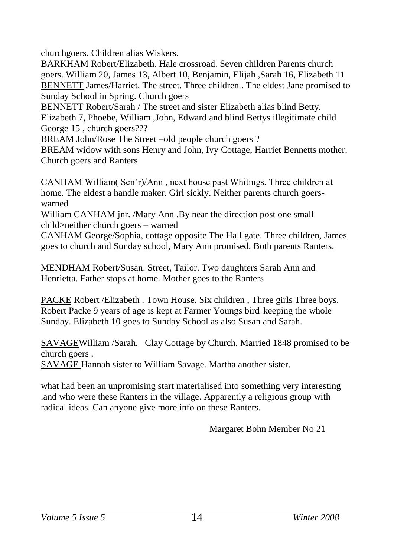churchgoers. Children alias Wiskers.

BARKHAM Robert/Elizabeth. Hale crossroad. Seven children Parents church goers. William 20, James 13, Albert 10, Benjamin, Elijah ,Sarah 16, Elizabeth 11 BENNETT James/Harriet. The street. Three children . The eldest Jane promised to Sunday School in Spring. Church goers

BENNETT Robert/Sarah / The street and sister Elizabeth alias blind Betty. Elizabeth 7, Phoebe, William ,John, Edward and blind Bettys illegitimate child George 15 , church goers???

BREAM John/Rose The Street –old people church goers ?

BREAM widow with sons Henry and John, Ivy Cottage, Harriet Bennetts mother. Church goers and Ranters

CANHAM William( Sen'r)/Ann , next house past Whitings. Three children at home. The eldest a handle maker. Girl sickly. Neither parents church goerswarned

William CANHAM jnr. /Mary Ann .By near the direction post one small child>neither church goers – warned

CANHAM George/Sophia, cottage opposite The Hall gate. Three children, James goes to church and Sunday school, Mary Ann promised. Both parents Ranters.

MENDHAM Robert/Susan. Street, Tailor. Two daughters Sarah Ann and Henrietta. Father stops at home. Mother goes to the Ranters

PACKE Robert /Elizabeth . Town House. Six children , Three girls Three boys. Robert Packe 9 years of age is kept at Farmer Youngs bird keeping the whole Sunday. Elizabeth 10 goes to Sunday School as also Susan and Sarah.

SAVAGEWilliam /Sarah. Clay Cottage by Church. Married 1848 promised to be church goers .

SAVAGE Hannah sister to William Savage. Martha another sister.

what had been an unpromising start materialised into something very interesting .and who were these Ranters in the village. Apparently a religious group with radical ideas. Can anyone give more info on these Ranters.

Margaret Bohn Member No 21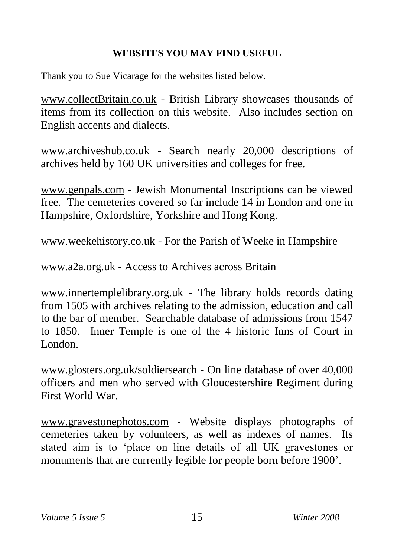## **WEBSITES YOU MAY FIND USEFUL**

Thank you to Sue Vicarage for the websites listed below.

[www.collectBritain.co.uk](http://www.collectbritain.co.uk/) - British Library showcases thousands of items from its collection on this website. Also includes section on English accents and dialects.

[www.archiveshub.co.uk](http://www.archiveshub.co.uk/) - Search nearly 20,000 descriptions of archives held by 160 UK universities and colleges for free.

[www.genpals.com](http://www.genpals.com/) - Jewish Monumental Inscriptions can be viewed free. The cemeteries covered so far include 14 in London and one in Hampshire, Oxfordshire, Yorkshire and Hong Kong.

[www.weekehistory.co.uk](http://www.weekehistory.co.uk/) - For the Parish of Weeke in Hampshire

[www.a2a.org.uk](http://www.a2a.org.uk/) - Access to Archives across Britain

[www.innertemplelibrary.org.uk](http://www.innertemplelibrary.org.uk/) - The library holds records dating from 1505 with archives relating to the admission, education and call to the bar of member. Searchable database of admissions from 1547 to 1850. Inner Temple is one of the 4 historic Inns of Court in London.

[www.glosters.org.uk/soldiersearch](http://www.glosters.org.uk/soldiersearch) - On line database of over 40,000 officers and men who served with Gloucestershire Regiment during First World War.

[www.gravestonephotos.com](http://www.gravestonephotos.com/) - Website displays photographs of cemeteries taken by volunteers, as well as indexes of names. Its stated aim is to 'place on line details of all UK gravestones or monuments that are currently legible for people born before 1900'.

#### *Volume 5 Issue 5* 15 *Winter 2008*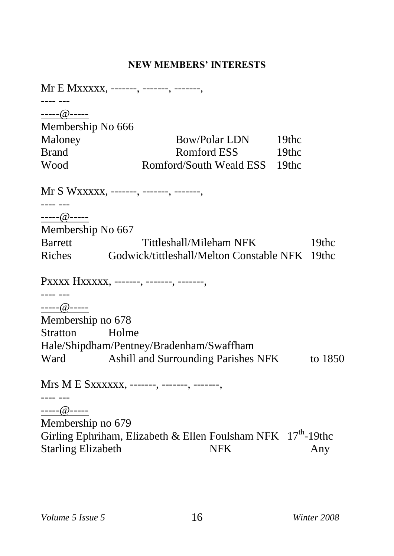### **NEW MEMBERS' INTERESTS**

Mr E Mxxxxx, -------, -------, -------, ---- --- [-----@-----](mailto:Eric.laurence@homecall.co.uk) Membership No 666 Maloney Bow/Polar LDN 19thc Brand Romford ESS 19thc Wood Romford/South Weald ESS 19thc Mr S Wxxxxx, -------, -------, -------, ---- --- [-----@-----](mailto:Eric.laurence@homecall.co.uk) Membership No 667 Barrett Tittleshall/Mileham NFK 19thc Riches Godwick/tittleshall/Melton Constable NFK 19thc Pxxxx Hxxxxx, -------, -------, -------. ---- --- [-----@-----](mailto:Eric.laurence@homecall.co.uk) Membership no 678 Stratton Holme Hale/Shipdham/Pentney/Bradenham/Swaffham Ward Ashill and Surrounding Parishes NFK to 1850 Mrs M E Sxxxxxx, -------, -------, -------, ---- --- [-----@-----](mailto:Eric.laurence@homecall.co.uk) Membership no 679 Girling Ephriham, Elizabeth & Ellen Foulsham NFK  $17<sup>th</sup>$ -19thc Starling Elizabeth NFK Any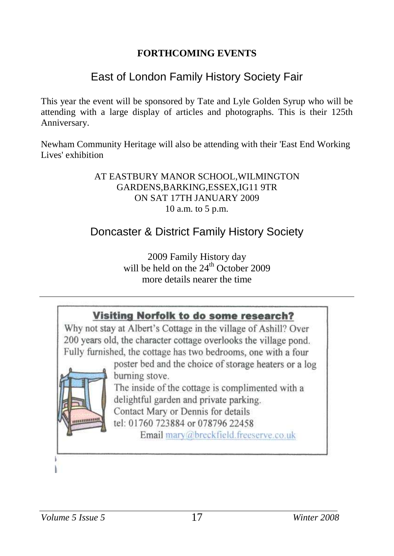### **FORTHCOMING EVENTS**

# East of London Family History Society Fair

This year the event will be sponsored by Tate and Lyle Golden Syrup who will be attending with a large display of articles and photographs. This is their 125th Anniversary.

Newham Community Heritage will also be attending with their 'East End Working Lives' exhibition

#### AT EASTBURY MANOR SCHOOL,WILMINGTON GARDENS,BARKING,ESSEX,IG11 9TR ON SAT 17TH JANUARY 2009 10 a.m. to 5 p.m.

# Doncaster & District Family History Society

2009 Family History day will be held on the  $24<sup>th</sup>$  October 2009 more details nearer the time

## Visiting Norfolk to do some research?

Why not stay at Albert's Cottage in the village of Ashill? Over 200 years old, the character cottage overlooks the village pond. Fully furnished, the cottage has two bedrooms, one with a four

poster bed and the choice of storage heaters or a log burning stove.

The inside of the cottage is complimented with a delightful garden and private parking. Contact Mary or Dennis for details

tel: 01760 723884 or 078796 22458

Email mary@breckfield.freeserve.co.uk

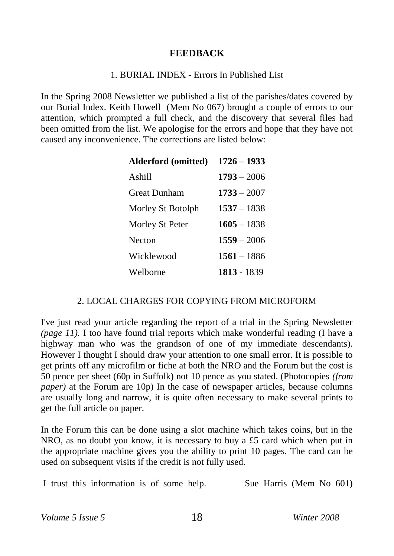#### **FEEDBACK**

#### 1. BURIAL INDEX - Errors In Published List

In the Spring 2008 Newsletter we published a list of the parishes/dates covered by our Burial Index. Keith Howell (Mem No 067) brought a couple of errors to our attention, which prompted a full check, and the discovery that several files had been omitted from the list. We apologise for the errors and hope that they have not caused any inconvenience. The corrections are listed below:

| Alderford (omitted) | $1726 - 1933$ |
|---------------------|---------------|
| Ashill              | $1793 - 2006$ |
| <b>Great Dunham</b> | $1733 - 2007$ |
| Morley St Botolph   | $1537 - 1838$ |
| Morley St Peter     | $1605 - 1838$ |
| Necton              | $1559 - 2006$ |
| Wicklewood          | $1561 - 1886$ |
| Welborne            | 1813 - 1839   |

#### 2. LOCAL CHARGES FOR COPYING FROM MICROFORM

I've just read your article regarding the report of a trial in the Spring Newsletter *(page 11).* I too have found trial reports which make wonderful reading (I have a highway man who was the grandson of one of my immediate descendants). However I thought I should draw your attention to one small error. It is possible to get prints off any microfilm or fiche at both the NRO and the Forum but the cost is 50 pence per sheet (60p in Suffolk) not 10 pence as you stated. (Photocopies *(from paper)* at the Forum are 10p) In the case of newspaper articles, because columns are usually long and narrow, it is quite often necessary to make several prints to get the full article on paper.

In the Forum this can be done using a slot machine which takes coins, but in the NRO, as no doubt you know, it is necessary to buy a £5 card which when put in the appropriate machine gives you the ability to print 10 pages. The card can be used on subsequent visits if the credit is not fully used.

I trust this information is of some help. Sue Harris (Mem No 601)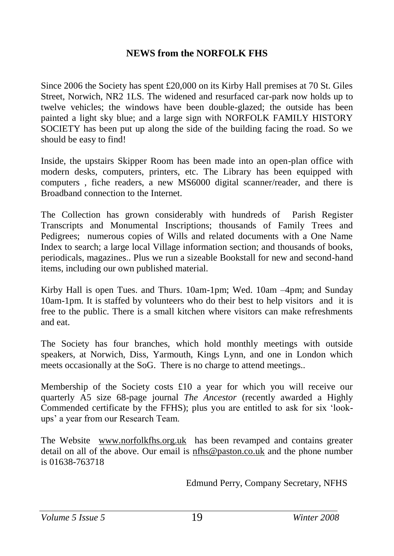#### **NEWS from the NORFOLK FHS**

Since 2006 the Society has spent £20,000 on its Kirby Hall premises at 70 St. Giles Street, Norwich, NR2 1LS. The widened and resurfaced car-park now holds up to twelve vehicles; the windows have been double-glazed; the outside has been painted a light sky blue; and a large sign with NORFOLK FAMILY HISTORY SOCIETY has been put up along the side of the building facing the road. So we should be easy to find!

Inside, the upstairs Skipper Room has been made into an open-plan office with modern desks, computers, printers, etc. The Library has been equipped with computers , fiche readers, a new MS6000 digital scanner/reader, and there is Broadband connection to the Internet.

The Collection has grown considerably with hundreds of Parish Register Transcripts and Monumental Inscriptions; thousands of Family Trees and Pedigrees; numerous copies of Wills and related documents with a One Name Index to search; a large local Village information section; and thousands of books, periodicals, magazines.. Plus we run a sizeable Bookstall for new and second-hand items, including our own published material.

Kirby Hall is open Tues. and Thurs. 10am-1pm; Wed. 10am –4pm; and Sunday 10am-1pm. It is staffed by volunteers who do their best to help visitors and it is free to the public. There is a small kitchen where visitors can make refreshments and eat.

The Society has four branches, which hold monthly meetings with outside speakers, at Norwich, Diss, Yarmouth, Kings Lynn, and one in London which meets occasionally at the SoG. There is no charge to attend meetings..

Membership of the Society costs  $£10$  a year for which you will receive our quarterly A5 size 68-page journal *The Ancestor* (recently awarded a Highly Commended certificate by the FFHS); plus you are entitled to ask for six 'lookups' a year from our Research Team.

The Website [www.norfolkfhs.org.uk](http://www.norfolkfhs.org.uk/) has been revamped and contains greater detail on all of the above. Our email is [nfhs@paston.co.uk](mailto:nfhs@paston.co.uk) and the phone number is 01638-763718

Edmund Perry, Company Secretary, NFHS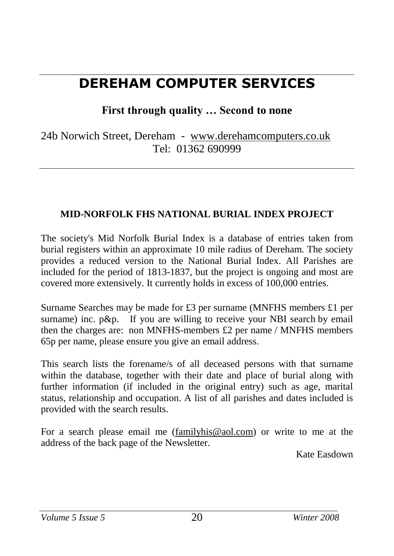# **DEREHAM COMPUTER SERVICES**

**First through quality … Second to none**

24b Norwich Street, Dereham - [www.derehamcomputers.co.uk](http://www.derehamcomputers.co.uk/) Tel: 01362 690999

### **MID-NORFOLK FHS NATIONAL BURIAL INDEX PROJECT**

The society's Mid Norfolk Burial Index is a database of entries taken from burial registers within an approximate 10 mile radius of Dereham. The society provides a reduced version to the National Burial Index. All Parishes are included for the period of 1813-1837, but the project is ongoing and most are covered more extensively. It currently holds in excess of 100,000 entries.

Surname Searches may be made for £3 per surname (MNFHS members £1 per surname) inc. p&p. If you are willing to receive your NBI search by email then the charges are: non MNFHS-members £2 per name / MNFHS members 65p per name, please ensure you give an email address.

This search lists the forename/s of all deceased persons with that surname within the database, together with their date and place of burial along with further information (if included in the original entry) such as age, marital status, relationship and occupation. A list of all parishes and dates included is provided with the search results.

For a search please email me [\(familyhis@aol.com\)](mailto:familyhis@aol.com) or write to me at the address of the back page of the Newsletter.

Kate Easdown

*Volume 5 Issue 5* 20 *Winter 2008*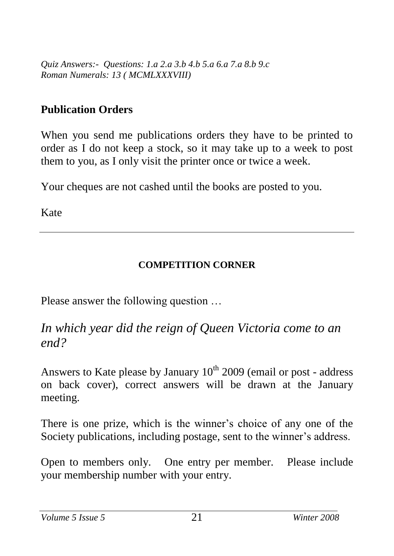*Quiz Answers:- Questions: 1.a 2.a 3.b 4.b 5.a 6.a 7.a 8.b 9.c Roman Numerals: 13 ( MCMLXXXVIII)*

## **Publication Orders**

When you send me publications orders they have to be printed to order as I do not keep a stock, so it may take up to a week to post them to you, as I only visit the printer once or twice a week.

Your cheques are not cashed until the books are posted to you.

Kate

## **COMPETITION CORNER**

Please answer the following question …

*In which year did the reign of Queen Victoria come to an end?*

Answers to Kate please by January  $10^{th}$  2009 (email or post - address on back cover), correct answers will be drawn at the January meeting.

There is one prize, which is the winner's choice of any one of the Society publications, including postage, sent to the winner's address.

Open to members only. One entry per member. Please include your membership number with your entry.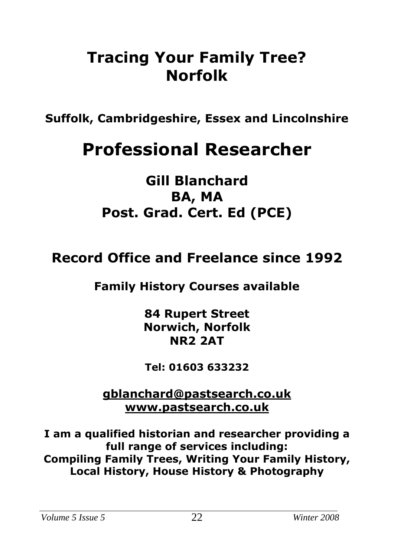# **Tracing Your Family Tree? Norfolk**

**Suffolk, Cambridgeshire, Essex and Lincolnshire**

# **Professional Researcher**

# **Gill Blanchard BA, MA Post. Grad. Cert. Ed (PCE)**

# **Record Office and Freelance since 1992**

# **Family History Courses available**

**84 Rupert Street Norwich, Norfolk NR2 2AT**

**Tel: 01603 633232**

**[gblanchard@pastsearch.co.uk](mailto:gblanchard@pastsearch.co.uk) [www.pastsearch.co.uk](http://www.pastsearch.co.uk/)**

**I am a qualified historian and researcher providing a full range of services including: Compiling Family Trees, Writing Your Family History, Local History, House History & Photography**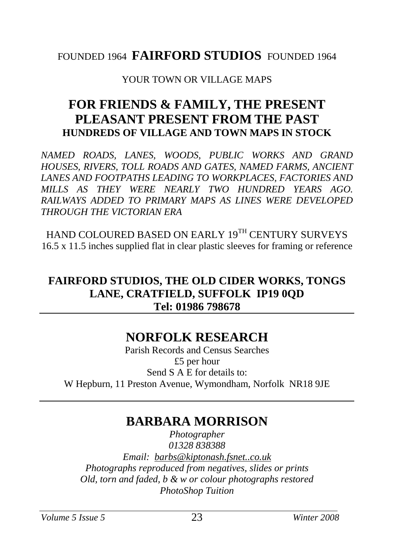## FOUNDED 1964 **FAIRFORD STUDIOS** FOUNDED 1964

#### YOUR TOWN OR VILLAGE MAPS

# **FOR FRIENDS & FAMILY, THE PRESENT PLEASANT PRESENT FROM THE PAST HUNDREDS OF VILLAGE AND TOWN MAPS IN STOCK**

*NAMED ROADS, LANES, WOODS, PUBLIC WORKS AND GRAND HOUSES, RIVERS, TOLL ROADS AND GATES, NAMED FARMS, ANCIENT LANES AND FOOTPATHS LEADING TO WORKPLACES, FACTORIES AND MILLS AS THEY WERE NEARLY TWO HUNDRED YEARS AGO. RAILWAYS ADDED TO PRIMARY MAPS AS LINES WERE DEVELOPED THROUGH THE VICTORIAN ERA*

HAND COLOURED BASED ON EARLY 19TH CENTURY SURVEYS 16.5 x 11.5 inches supplied flat in clear plastic sleeves for framing or reference

## **FAIRFORD STUDIOS, THE OLD CIDER WORKS, TONGS LANE, CRATFIELD, SUFFOLK IP19 0QD Tel: 01986 798678**

# **NORFOLK RESEARCH**

Parish Records and Census Searches £5 per hour Send S A E for details to: W Hepburn, 11 Preston Avenue, Wymondham, Norfolk NR18 9JE

# **BARBARA MORRISON**

*Photographer 01328 838388 Email: [barbs@kiptonash.fsnet..co.uk](mailto:barbs@kiptonash.fsnet..co.uk) Photographs reproduced from negatives, slides or prints Old, torn and faded, b & w or colour photographs restored PhotoShop Tuition*